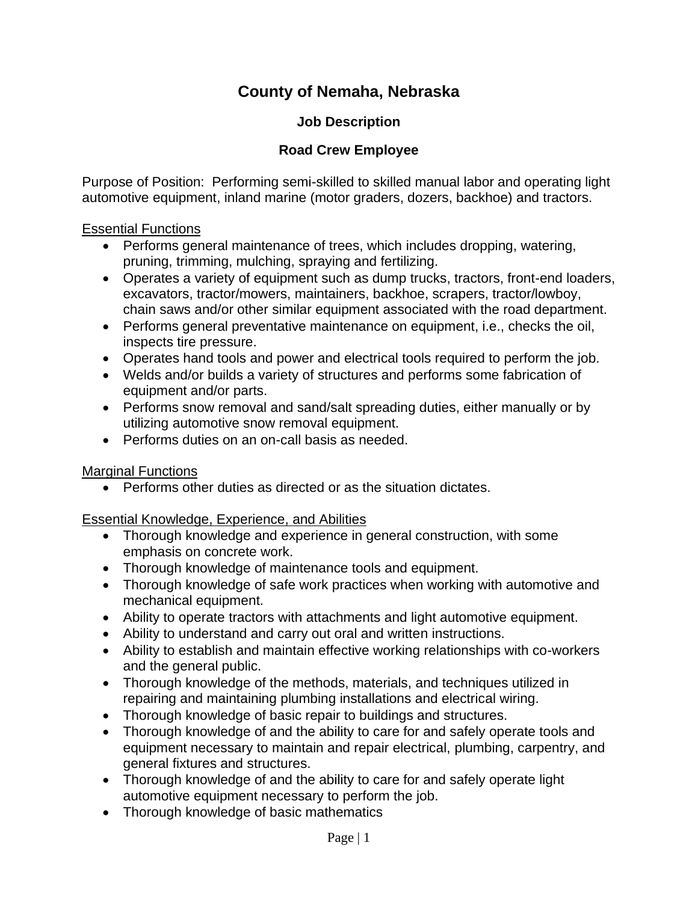# **County of Nemaha, Nebraska**

# **Job Description**

# **Road Crew Employee**

Purpose of Position: Performing semi-skilled to skilled manual labor and operating light automotive equipment, inland marine (motor graders, dozers, backhoe) and tractors.

#### Essential Functions

- Performs general maintenance of trees, which includes dropping, watering, pruning, trimming, mulching, spraying and fertilizing.
- Operates a variety of equipment such as dump trucks, tractors, front-end loaders, excavators, tractor/mowers, maintainers, backhoe, scrapers, tractor/lowboy, chain saws and/or other similar equipment associated with the road department.
- Performs general preventative maintenance on equipment, i.e., checks the oil, inspects tire pressure.
- Operates hand tools and power and electrical tools required to perform the job.
- Welds and/or builds a variety of structures and performs some fabrication of equipment and/or parts.
- Performs snow removal and sand/salt spreading duties, either manually or by utilizing automotive snow removal equipment.
- Performs duties on an on-call basis as needed.

## **Marginal Functions**

• Performs other duties as directed or as the situation dictates.

## Essential Knowledge, Experience, and Abilities

- Thorough knowledge and experience in general construction, with some emphasis on concrete work.
- Thorough knowledge of maintenance tools and equipment.
- Thorough knowledge of safe work practices when working with automotive and mechanical equipment.
- Ability to operate tractors with attachments and light automotive equipment.
- Ability to understand and carry out oral and written instructions.
- Ability to establish and maintain effective working relationships with co-workers and the general public.
- Thorough knowledge of the methods, materials, and techniques utilized in repairing and maintaining plumbing installations and electrical wiring.
- Thorough knowledge of basic repair to buildings and structures.
- Thorough knowledge of and the ability to care for and safely operate tools and equipment necessary to maintain and repair electrical, plumbing, carpentry, and general fixtures and structures.
- Thorough knowledge of and the ability to care for and safely operate light automotive equipment necessary to perform the job.
- Thorough knowledge of basic mathematics